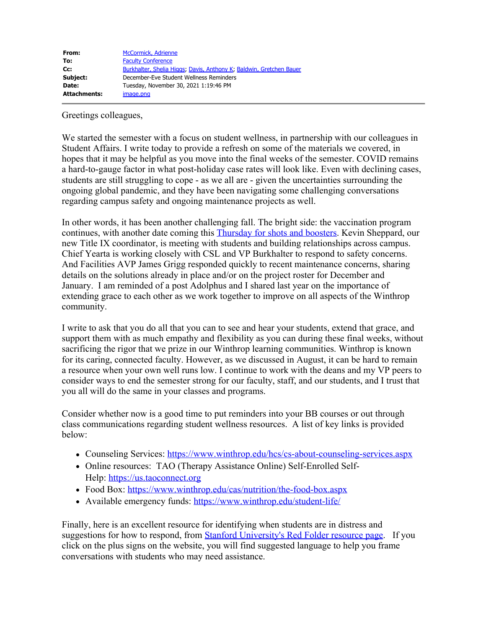| From:               | <b>McCormick, Adrienne</b>                                          |
|---------------------|---------------------------------------------------------------------|
| To:                 | <b>Faculty Conference</b>                                           |
| cc:                 | Burkhalter, Shelia Higgs, Davis, Anthony K. Baldwin, Gretchen Bauer |
| Subject:            | December-Eve Student Wellness Reminders                             |
| Date:               | Tuesday, November 30, 2021 1:19:46 PM                               |
| <b>Attachments:</b> | image.png                                                           |

Greetings colleagues,

We started the semester with a focus on student wellness, in partnership with our colleagues in Student Affairs. I write today to provide a refresh on some of the materials we covered, in hopes that it may be helpful as you move into the final weeks of the semester. COVID remains a hard-to-gauge factor in what post-holiday case rates will look like. Even with declining cases, students are still struggling to cope - as we all are - given the uncertainties surrounding the ongoing global pandemic, and they have been navigating some challenging conversations regarding campus safety and ongoing maintenance projects as well.

In other words, it has been another challenging fall. The bright side: the vaccination program continues, with another date coming this [Thursday for shots and boosters](https://apps.winthrop.edu/dailydigest/11292021/1.html). Kevin Sheppard, our new Title IX coordinator, is meeting with students and building relationships across campus. Chief Yearta is working closely with CSL and VP Burkhalter to respond to safety concerns. And Facilities AVP James Grigg responded quickly to recent maintenance concerns, sharing details on the solutions already in place and/or on the project roster for December and January. I am reminded of a post Adolphus and I shared last year on the importance of extending grace to each other as we work together to improve on all aspects of the Winthrop community.

I write to ask that you do all that you can to see and hear your students, extend that grace, and support them with as much empathy and flexibility as you can during these final weeks, without sacrificing the rigor that we prize in our Winthrop learning communities. Winthrop is known for its caring, connected faculty. However, as we discussed in August, it can be hard to remain a resource when your own well runs low. I continue to work with the deans and my VP peers to consider ways to end the semester strong for our faculty, staff, and our students, and I trust that you all will do the same in your classes and programs.

Consider whether now is a good time to put reminders into your BB courses or out through class communications regarding student wellness resources. A list of key links is provided below:

- Counseling Services: <https://www.winthrop.edu/hcs/cs-about-counseling-services.aspx>
- Online resources: TAO (Therapy Assistance Online) Self-Enrolled Self-Help: [https://us.taoconnect.org](https://us.taoconnect.org/)
- Food Box: <https://www.winthrop.edu/cas/nutrition/the-food-box.aspx>
- Available emergency funds: <https://www.winthrop.edu/student-life/>

Finally, here is an excellent resource for identifying when students are in distress and suggestions for how to respond, from [Stanford University's Red Folder resource page](https://studentaffairs.stanford.edu/resources-our-communities/red-folder). If you click on the plus signs on the website, you will find suggested language to help you frame conversations with students who may need assistance.